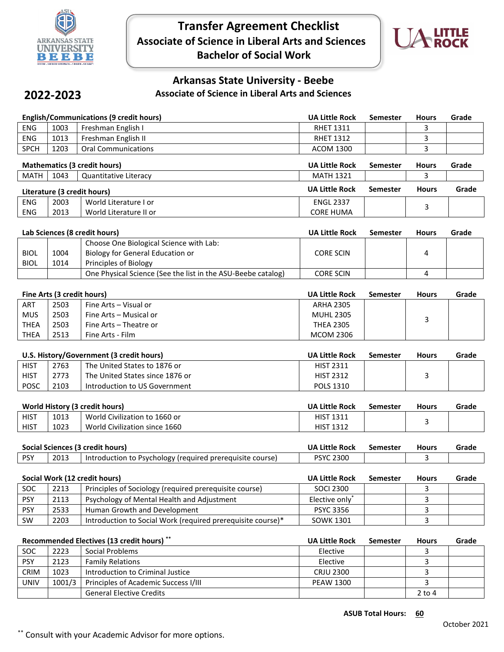

 **Transfer Agreement Checklist Associate of Science in Liberal Arts and Sciences Bachelor of Social Work**



### **Arkansas State University - Beebe Associate of Science in Liberal Arts and Sciences**

# **2022-2023**

|                                            |                             | <b>English/Communications (9 credit hours)</b>               | <b>UA Little Rock</b> | <b>Semester</b> | <b>Hours</b> | Grade |
|--------------------------------------------|-----------------------------|--------------------------------------------------------------|-----------------------|-----------------|--------------|-------|
| <b>ENG</b>                                 | 1003                        | Freshman English I                                           | <b>RHET 1311</b>      |                 | 3            |       |
| <b>ENG</b>                                 | 1013                        | Freshman English II                                          | <b>RHET 1312</b>      |                 | 3            |       |
| <b>SPCH</b>                                | 1203                        | <b>Oral Communications</b>                                   | <b>ACOM 1300</b>      |                 | 3            |       |
|                                            |                             | <b>Mathematics (3 credit hours)</b>                          | <b>UA Little Rock</b> | <b>Semester</b> | <b>Hours</b> | Grade |
| <b>MATH</b>                                | 1043                        | Quantitative Literacy                                        | <b>MATH 1321</b>      |                 | 3            |       |
|                                            |                             |                                                              | <b>UA Little Rock</b> | <b>Semester</b> | <b>Hours</b> | Grade |
|                                            | Literature (3 credit hours) |                                                              |                       |                 |              |       |
| <b>ENG</b>                                 | 2003<br>2013                | World Literature I or                                        | <b>ENGL 2337</b>      |                 | 3            |       |
| ENG                                        |                             | World Literature II or                                       | <b>CORE HUMA</b>      |                 |              |       |
|                                            |                             | Lab Sciences (8 credit hours)                                | <b>UA Little Rock</b> | Semester        | <b>Hours</b> | Grade |
|                                            |                             | Choose One Biological Science with Lab:                      |                       |                 |              |       |
| <b>BIOL</b>                                | 1004                        | Biology for General Education or                             | <b>CORE SCIN</b>      |                 | 4            |       |
| <b>BIOL</b>                                | 1014                        | Principles of Biology                                        |                       |                 |              |       |
|                                            |                             | One Physical Science (See the list in the ASU-Beebe catalog) | <b>CORE SCIN</b>      |                 | 4            |       |
|                                            |                             |                                                              |                       |                 |              |       |
|                                            | Fine Arts (3 credit hours)  |                                                              | <b>UA Little Rock</b> | <b>Semester</b> | <b>Hours</b> | Grade |
| ART                                        | 2503                        | Fine Arts - Visual or                                        | <b>ARHA 2305</b>      |                 |              |       |
| <b>MUS</b>                                 | 2503                        | Fine Arts – Musical or                                       | <b>MUHL 2305</b>      |                 | 3            |       |
| <b>THEA</b>                                | 2503                        | Fine Arts - Theatre or                                       | <b>THEA 2305</b>      |                 |              |       |
| <b>THEA</b>                                | 2513                        | Fine Arts - Film                                             | <b>MCOM 2306</b>      |                 |              |       |
|                                            |                             |                                                              |                       |                 |              |       |
|                                            |                             | U.S. History/Government (3 credit hours)                     | <b>UA Little Rock</b> | <b>Semester</b> | <b>Hours</b> | Grade |
| <b>HIST</b>                                | 2763                        | The United States to 1876 or                                 | <b>HIST 2311</b>      |                 |              |       |
| <b>HIST</b>                                | 2773                        | The United States since 1876 or                              | <b>HIST 2312</b>      |                 | 3            |       |
| POSC                                       | 2103                        | Introduction to US Government                                | POLS 1310             |                 |              |       |
|                                            |                             | <b>World History (3 credit hours)</b>                        | <b>UA Little Rock</b> | <b>Semester</b> | <b>Hours</b> | Grade |
| <b>HIST</b>                                | 1013                        | World Civilization to 1660 or                                | <b>HIST 1311</b>      |                 |              |       |
| <b>HIST</b>                                | 1023                        | World Civilization since 1660                                | <b>HIST 1312</b>      |                 | 3            |       |
|                                            |                             |                                                              |                       |                 |              |       |
|                                            |                             | Social Sciences (3 credit hours)                             | <b>UA Little Rock</b> | Semester        | <b>Hours</b> | Grade |
| PSY                                        | 2013                        | Introduction to Psychology (required prerequisite course)    | <b>PSYC 2300</b>      |                 | 3            |       |
|                                            |                             |                                                              |                       |                 |              |       |
| Social Work (12 credit hours)              |                             |                                                              | <b>UA Little Rock</b> | Semester        | <b>Hours</b> | Grade |
| <b>SOC</b>                                 | 2213                        | Principles of Sociology (required prerequisite course)       | <b>SOCI 2300</b>      |                 | 3            |       |
| <b>PSY</b>                                 | 2113                        | Psychology of Mental Health and Adjustment                   | Elective only*        |                 | 3            |       |
| <b>PSY</b>                                 | 2533                        | Human Growth and Development                                 | <b>PSYC 3356</b>      |                 | 3            |       |
| SW                                         | 2203                        | Introduction to Social Work (required prerequisite course)*  | <b>SOWK 1301</b>      |                 | 3            |       |
|                                            |                             |                                                              |                       |                 |              |       |
| Recommended Electives (13 credit hours) ** |                             |                                                              | <b>UA Little Rock</b> | Semester        | <b>Hours</b> | Grade |
| <b>SOC</b>                                 | 2223                        | <b>Social Problems</b>                                       | Elective              |                 | 3            |       |
| <b>PSY</b>                                 | 2123                        | <b>Family Relations</b>                                      | Elective              |                 | 3            |       |
| CRIM                                       | 1023                        | Introduction to Criminal Justice                             | <b>CRJU 2300</b>      |                 | 3            |       |
| <b>UNIV</b>                                | 1001/3                      | Principles of Academic Success I/III                         | <b>PEAW 1300</b>      |                 | 3            |       |
|                                            |                             | <b>General Elective Credits</b>                              |                       |                 | $2$ to $4$   |       |